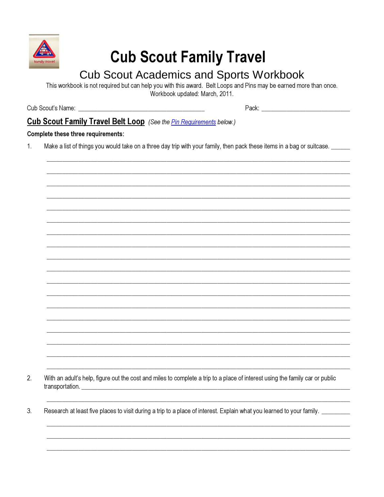

# **Cub Scout Family Travel**

# **Cub Scout Academics and Sports Workbook**

This workbook is not required but can help you with this award. Belt Loops and Pins may be earned more than once. Workbook updated: March, 2011.

Pack: Pack and the state of the state of the state of the state of the state of the state of the state of the

## **Cub Scout Family Travel Belt Loop** (See the *Pin Requirements below.)*

#### Complete these three requirements:

 $1<sub>1</sub>$ Make a list of things you would take on a three day trip with your family, then pack these items in a bag or suitcase.

 $2.$ With an adult's help, figure out the cost and miles to complete a trip to a place of interest using the family car or public transportation.

 $3<sub>l</sub>$ Research at least five places to visit during a trip to a place of interest. Explain what you learned to your family. \_\_\_\_\_\_\_